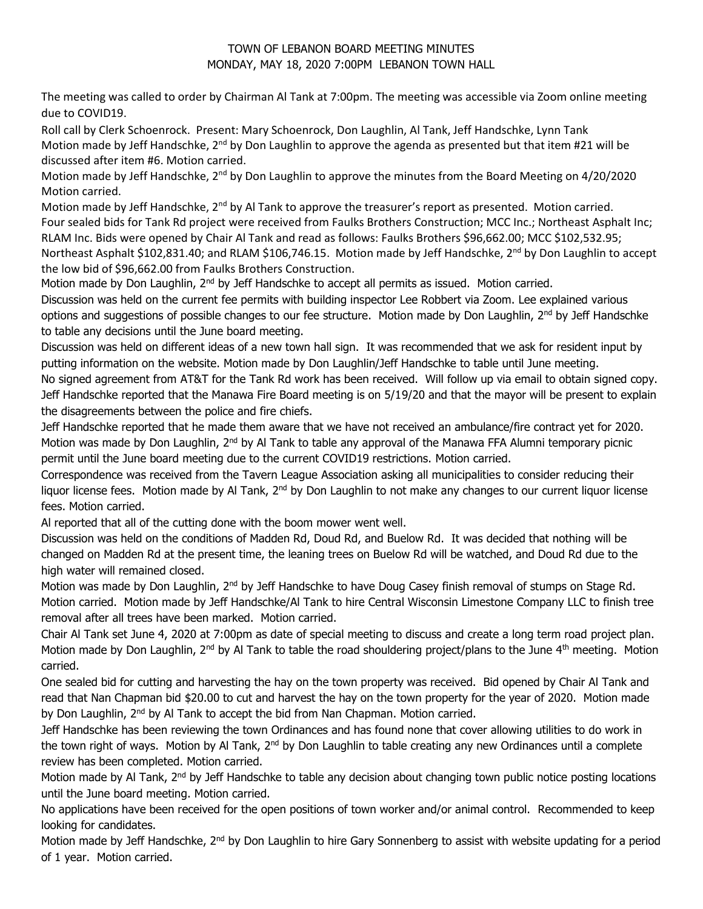## TOWN OF LEBANON BOARD MEETING MINUTES MONDAY, MAY 18, 2020 7:00PM LEBANON TOWN HALL

The meeting was called to order by Chairman Al Tank at 7:00pm. The meeting was accessible via Zoom online meeting due to COVID19.

Roll call by Clerk Schoenrock. Present: Mary Schoenrock, Don Laughlin, Al Tank, Jeff Handschke, Lynn Tank Motion made by Jeff Handschke, 2<sup>nd</sup> by Don Laughlin to approve the agenda as presented but that item #21 will be discussed after item #6. Motion carried.

Motion made by Jeff Handschke, 2<sup>nd</sup> by Don Laughlin to approve the minutes from the Board Meeting on 4/20/2020 Motion carried.

Motion made by Jeff Handschke, 2<sup>nd</sup> by Al Tank to approve the treasurer's report as presented. Motion carried. Four sealed bids for Tank Rd project were received from Faulks Brothers Construction; MCC Inc.; Northeast Asphalt Inc; RLAM Inc. Bids were opened by Chair Al Tank and read as follows: Faulks Brothers \$96,662.00; MCC \$102,532.95; Northeast Asphalt \$102,831.40; and RLAM \$106,746.15. Motion made by Jeff Handschke, 2<sup>nd</sup> by Don Laughlin to accept the low bid of \$96,662.00 from Faulks Brothers Construction.

Motion made by Don Laughlin, 2<sup>nd</sup> by Jeff Handschke to accept all permits as issued. Motion carried.

Discussion was held on the current fee permits with building inspector Lee Robbert via Zoom. Lee explained various options and suggestions of possible changes to our fee structure. Motion made by Don Laughlin, 2<sup>nd</sup> by Jeff Handschke to table any decisions until the June board meeting.

Discussion was held on different ideas of a new town hall sign. It was recommended that we ask for resident input by putting information on the website. Motion made by Don Laughlin/Jeff Handschke to table until June meeting.

No signed agreement from AT&T for the Tank Rd work has been received. Will follow up via email to obtain signed copy. Jeff Handschke reported that the Manawa Fire Board meeting is on 5/19/20 and that the mayor will be present to explain the disagreements between the police and fire chiefs.

Jeff Handschke reported that he made them aware that we have not received an ambulance/fire contract yet for 2020. Motion was made by Don Laughlin, 2<sup>nd</sup> by Al Tank to table any approval of the Manawa FFA Alumni temporary picnic permit until the June board meeting due to the current COVID19 restrictions. Motion carried.

Correspondence was received from the Tavern League Association asking all municipalities to consider reducing their liquor license fees. Motion made by Al Tank, 2<sup>nd</sup> by Don Laughlin to not make any changes to our current liquor license fees. Motion carried.

Al reported that all of the cutting done with the boom mower went well.

Discussion was held on the conditions of Madden Rd, Doud Rd, and Buelow Rd. It was decided that nothing will be changed on Madden Rd at the present time, the leaning trees on Buelow Rd will be watched, and Doud Rd due to the high water will remained closed.

Motion was made by Don Laughlin, 2<sup>nd</sup> by Jeff Handschke to have Doug Casey finish removal of stumps on Stage Rd. Motion carried. Motion made by Jeff Handschke/Al Tank to hire Central Wisconsin Limestone Company LLC to finish tree removal after all trees have been marked. Motion carried.

Chair Al Tank set June 4, 2020 at 7:00pm as date of special meeting to discuss and create a long term road project plan. Motion made by Don Laughlin, 2<sup>nd</sup> by Al Tank to table the road shouldering project/plans to the June 4<sup>th</sup> meeting. Motion carried.

One sealed bid for cutting and harvesting the hay on the town property was received. Bid opened by Chair Al Tank and read that Nan Chapman bid \$20.00 to cut and harvest the hay on the town property for the year of 2020. Motion made by Don Laughlin, 2<sup>nd</sup> by Al Tank to accept the bid from Nan Chapman. Motion carried.

Jeff Handschke has been reviewing the town Ordinances and has found none that cover allowing utilities to do work in the town right of ways. Motion by Al Tank,  $2^{nd}$  by Don Laughlin to table creating any new Ordinances until a complete review has been completed. Motion carried.

Motion made by Al Tank,  $2^{nd}$  by Jeff Handschke to table any decision about changing town public notice posting locations until the June board meeting. Motion carried.

No applications have been received for the open positions of town worker and/or animal control. Recommended to keep looking for candidates.

Motion made by Jeff Handschke, 2<sup>nd</sup> by Don Laughlin to hire Gary Sonnenberg to assist with website updating for a period of 1 year. Motion carried.